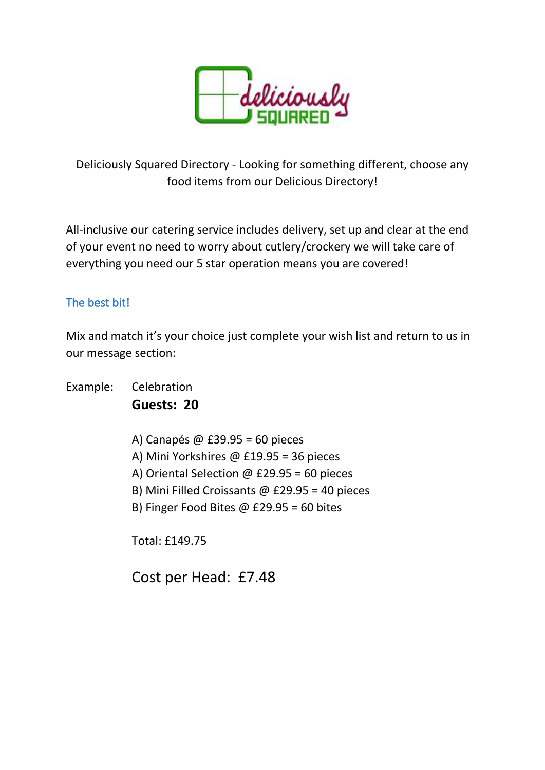

Deliciously Squared Directory - Looking for something different, choose any food items from our Delicious Directory!

All-inclusive our catering service includes delivery, set up and clear at the end of your event no need to worry about cutlery/crockery we will take care of everything you need our 5 star operation means you are covered!

### The best bit!

Mix and match it's your choice just complete your wish list and return to us in our message section:

Example: Celebration **Guests: 20** 

- A) Canapés @ £39.95 = 60 pieces
- A) Mini Yorkshires @ £19.95 = 36 pieces
- A) Oriental Selection @ £29.95 = 60 pieces
- B) Mini Filled Croissants @ £29.95 = 40 pieces
- B) Finger Food Bites @ £29.95 = 60 bites

Total: £149.75

Cost per Head: £7.48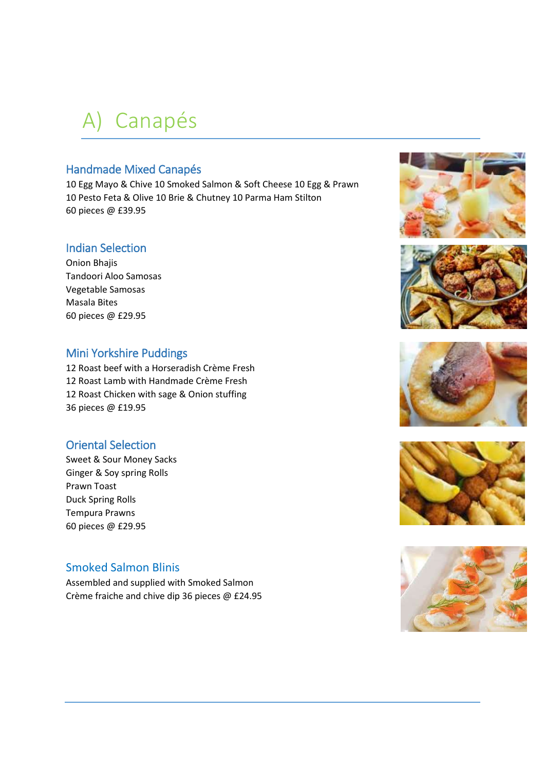# A) Canapés

### Handmade Mixed Canapés

10 Egg Mayo & Chive 10 Smoked Salmon & Soft Cheese 10 Egg & Prawn 10 Pesto Feta & Olive 10 Brie & Chutney 10 Parma Ham Stilton 60 pieces @ £39.95

### Indian Selection

Onion Bhajis Tandoori Aloo Samosas Vegetable Samosas Masala Bites 60 pieces @ £29.95

### Mini Yorkshire Puddings

12 Roast beef with a Horseradish Crème Fresh 12 Roast Lamb with Handmade Crème Fresh 12 Roast Chicken with sage & Onion stuffing 36 pieces @ £19.95

### Oriental Selection

Sweet & Sour Money Sacks Ginger & Soy spring Rolls Prawn Toast Duck Spring Rolls Tempura Prawns 60 pieces @ £29.95

### Smoked Salmon Blinis

Assembled and supplied with Smoked Salmon Crème fraiche and chive dip 36 pieces @ £24.95









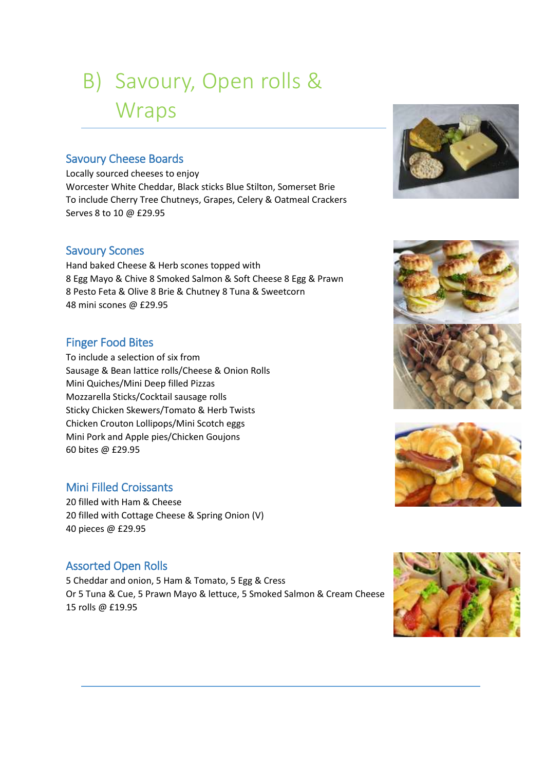# B) Savoury, Open rolls & **Wraps**

### Savoury Cheese Boards

Locally sourced cheeses to enjoy Worcester White Cheddar, Black sticks Blue Stilton, Somerset Brie To include Cherry Tree Chutneys, Grapes, Celery & Oatmeal Crackers Serves 8 to 10 @ £29.95

### Savoury Scones

Hand baked Cheese & Herb scones topped with 8 Egg Mayo & Chive 8 Smoked Salmon & Soft Cheese 8 Egg & Prawn 8 Pesto Feta & Olive 8 Brie & Chutney 8 Tuna & Sweetcorn 48 mini scones @ £29.95

### Finger Food Bites

To include a selection of six from Sausage & Bean lattice rolls/Cheese & Onion Rolls Mini Quiches/Mini Deep filled Pizzas Mozzarella Sticks/Cocktail sausage rolls Sticky Chicken Skewers/Tomato & Herb Twists Chicken Crouton Lollipops/Mini Scotch eggs Mini Pork and Apple pies/Chicken Goujons 60 bites @ £29.95

### Mini Filled Croissants

20 filled with Ham & Cheese 20 filled with Cottage Cheese & Spring Onion (V) 40 pieces @ £29.95

### Assorted Open Rolls

5 Cheddar and onion, 5 Ham & Tomato, 5 Egg & Cress Or 5 Tuna & Cue, 5 Prawn Mayo & lettuce, 5 Smoked Salmon & Cream Cheese 15 rolls @ £19.95







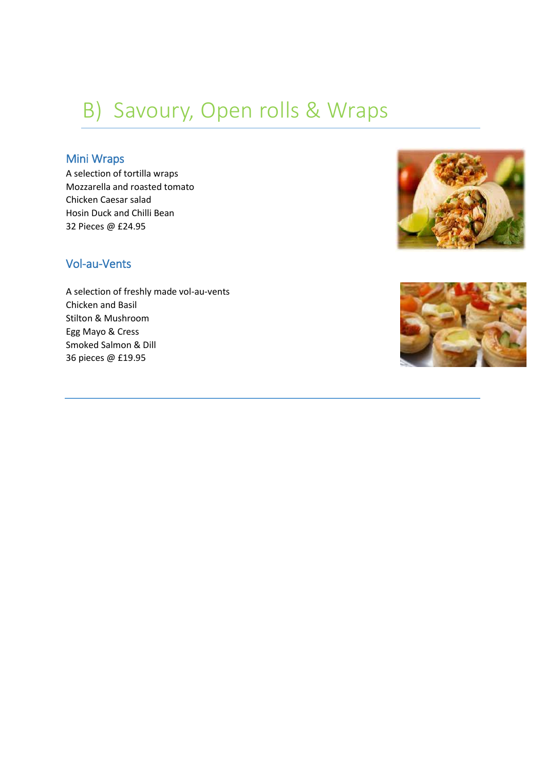## B) Savoury, Open rolls & Wraps

### Mini Wraps

A selection of tortilla wraps Mozzarella and roasted tomato Chicken Caesar salad Hosin Duck and Chilli Bean 32 Pieces @ £24.95

### Vol-au-Vents

A selection of freshly made vol-au-vents Chicken and Basil Stilton & Mushroom Egg Mayo & Cress Smoked Salmon & Dill 36 pieces @ £19.95



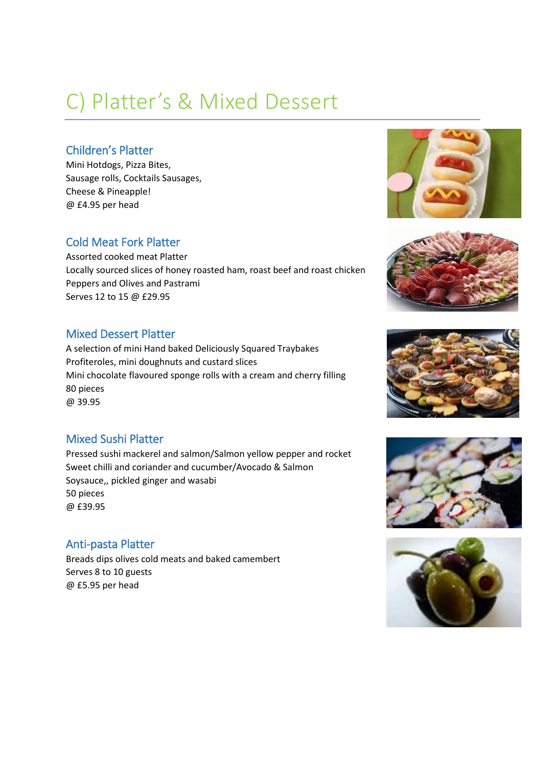# C) Platter's & Mixed Dessert

### Children's Platter

Mini Hotdogs, Pizza Bites, Sausage rolls, Cocktails Sausages, Cheese & Pineapple! @ £4.95 per head

### Cold Meat Fork Platter

Assorted cooked meat Platter Locally sourced slices of honey roasted ham, roast beef and roast chicken Peppers and Olives and Pastrami Serves 12 to 15 @ £29.95

### Mixed Dessert Platter

A selection of mini Hand baked Deliciously Squared Traybakes Profiteroles, mini doughnuts and custard slices Mini chocolate flavoured sponge rolls with a cream and cherry filling 80 pieces @ 39.95

### Mixed Sushi Platter

Pressed sushi mackerel and salmon/Salmon yellow pepper and rocket Sweet chilli and coriander and cucumber/Avocado & Salmon Soysauce,, pickled ginger and wasabi 50 pieces @ £39.95

### Anti-pasta Platter

Breads dips olives cold meats and baked camembert Serves 8 to 10 guests @ £5.95 per head









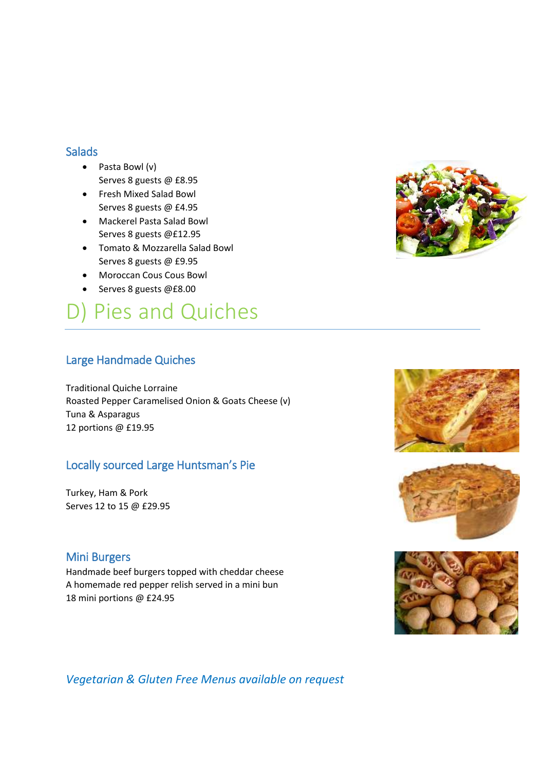### **Salads**

- Pasta Bowl (v) Serves 8 guests @ £8.95
- Fresh Mixed Salad Bowl Serves 8 guests @ £4.95
- Mackerel Pasta Salad Bowl Serves 8 guests @£12.95
- Tomato & Mozzarella Salad Bowl Serves 8 guests @ £9.95
- Moroccan Cous Cous Bowl
- Serves 8 guests @£8.00

## D) Pies and Quiches

### Large Handmade Quiches

Traditional Quiche Lorraine Roasted Pepper Caramelised Onion & Goats Cheese (v) Tuna & Asparagus 12 portions @ £19.95

### Locally sourced Large Huntsman's Pie

Turkey, Ham & Pork Serves 12 to 15 @ £29.95

### Mini Burgers

Handmade beef burgers topped with cheddar cheese A homemade red pepper relish served in a mini bun 18 mini portions @ £24.95









*Vegetarian & Gluten Free Menus available on request*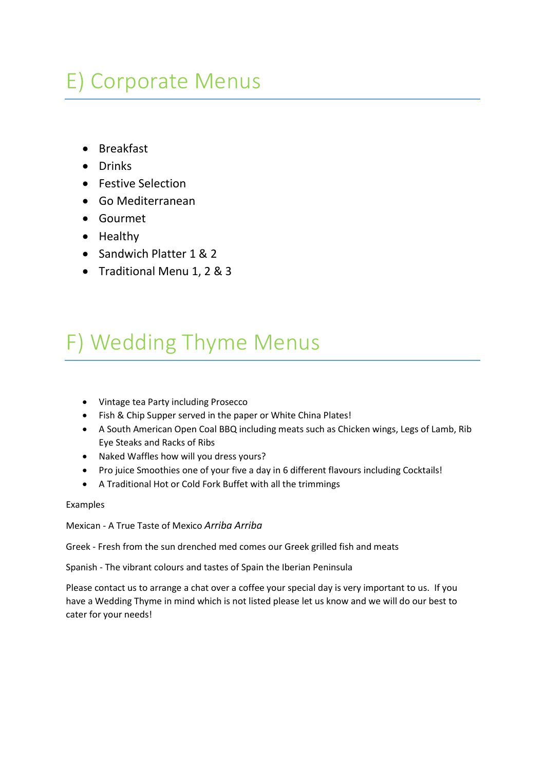# E) Corporate Menus

- Breakfast
- Drinks
- Festive Selection
- Go Mediterranean
- Gourmet
- Healthy
- Sandwich Platter 1 & 2
- Traditional Menu 1, 2 & 3

# F) Wedding Thyme Menus

- Vintage tea Party including Prosecco
- Fish & Chip Supper served in the paper or White China Plates!
- A South American Open Coal BBQ including meats such as Chicken wings, Legs of Lamb, Rib Eye Steaks and Racks of Ribs
- Naked Waffles how will you dress yours?
- Pro juice Smoothies one of your five a day in 6 different flavours including Cocktails!
- A Traditional Hot or Cold Fork Buffet with all the trimmings

### Examples

Mexican - A True Taste of Mexico *Arriba Arriba*

Greek - Fresh from the sun drenched med comes our Greek grilled fish and meats

Spanish - The vibrant colours and tastes of Spain the Iberian Peninsula

Please contact us to arrange a chat over a coffee your special day is very important to us. If you have a Wedding Thyme in mind which is not listed please let us know and we will do our best to cater for your needs!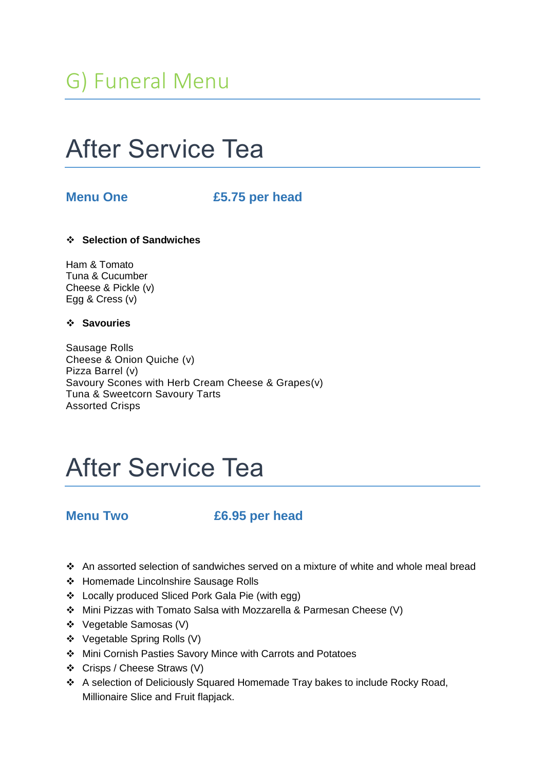# After Service Tea

### **Menu One £5.75 per head**

### **Selection of Sandwiches**

Ham & Tomato Tuna & Cucumber Cheese & Pickle (v) Egg & Cress (v)

### **Savouries**

Sausage Rolls Cheese & Onion Quiche (v) Pizza Barrel (v) Savoury Scones with Herb Cream Cheese & Grapes(v) Tuna & Sweetcorn Savoury Tarts Assorted Crisps

# After Service Tea

### **Menu Two £6.95 per head**

- An assorted selection of sandwiches served on a mixture of white and whole meal bread
- ◆ Homemade Lincolnshire Sausage Rolls
- Locally produced Sliced Pork Gala Pie (with egg)
- Mini Pizzas with Tomato Salsa with Mozzarella & Parmesan Cheese (V)
- Vegetable Samosas (V)
- Vegetable Spring Rolls (V)
- Mini Cornish Pasties Savory Mince with Carrots and Potatoes
- Crisps / Cheese Straws (V)
- A selection of Deliciously Squared Homemade Tray bakes to include Rocky Road, Millionaire Slice and Fruit flapjack.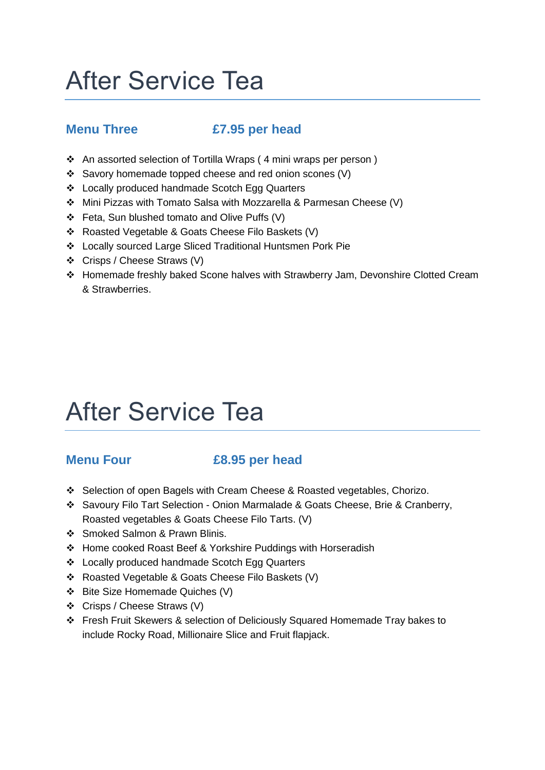# After Service Tea

## **Menu Three £7.95 per head**

- An assorted selection of Tortilla Wraps ( 4 mini wraps per person )
- Savory homemade topped cheese and red onion scones (V)
- Locally produced handmade Scotch Egg Quarters
- Mini Pizzas with Tomato Salsa with Mozzarella & Parmesan Cheese (V)
- Feta, Sun blushed tomato and Olive Puffs (V)
- \* Roasted Vegetable & Goats Cheese Filo Baskets (V)
- Locally sourced Large Sliced Traditional Huntsmen Pork Pie
- Crisps / Cheese Straws (V)
- Homemade freshly baked Scone halves with Strawberry Jam, Devonshire Clotted Cream & Strawberries.

# After Service Tea

### **Menu Four £8.95 per head**

- Selection of open Bagels with Cream Cheese & Roasted vegetables, Chorizo.
- Savoury Filo Tart Selection Onion Marmalade & Goats Cheese, Brie & Cranberry, Roasted vegetables & Goats Cheese Filo Tarts. (V)
- Smoked Salmon & Prawn Blinis.
- Home cooked Roast Beef & Yorkshire Puddings with Horseradish
- Locally produced handmade Scotch Egg Quarters
- \* Roasted Vegetable & Goats Cheese Filo Baskets (V)
- Bite Size Homemade Quiches (V)
- Crisps / Cheese Straws (V)
- Fresh Fruit Skewers & selection of Deliciously Squared Homemade Tray bakes to include Rocky Road, Millionaire Slice and Fruit flapjack.